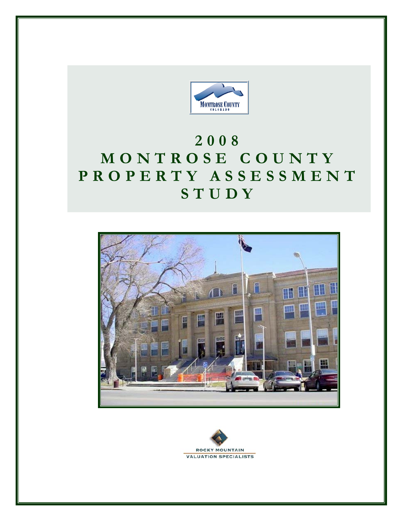

# **2008 MONTROSE COUNTY PROPERTY ASSESSMENT STUDY**



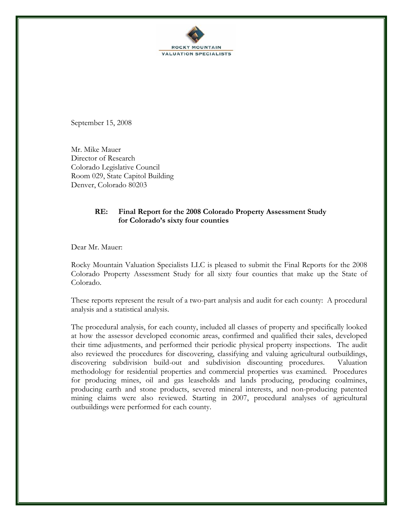

September 15, 2008

Mr. Mike Mauer Director of Research Colorado Legislative Council Room 029, State Capitol Building Denver, Colorado 80203

### **RE: Final Report for the 2008 Colorado Property Assessment Study for Colorado's sixty four counties**

Dear Mr. Mauer:

Rocky Mountain Valuation Specialists LLC is pleased to submit the Final Reports for the 2008 Colorado Property Assessment Study for all sixty four counties that make up the State of Colorado.

These reports represent the result of a two-part analysis and audit for each county: A procedural analysis and a statistical analysis.

The procedural analysis, for each county, included all classes of property and specifically looked at how the assessor developed economic areas, confirmed and qualified their sales, developed their time adjustments, and performed their periodic physical property inspections. The audit also reviewed the procedures for discovering, classifying and valuing agricultural outbuildings, discovering subdivision build-out and subdivision discounting procedures. Valuation methodology for residential properties and commercial properties was examined. Procedures for producing mines, oil and gas leaseholds and lands producing, producing coalmines, producing earth and stone products, severed mineral interests, and non-producing patented mining claims were also reviewed. Starting in 2007, procedural analyses of agricultural outbuildings were performed for each county.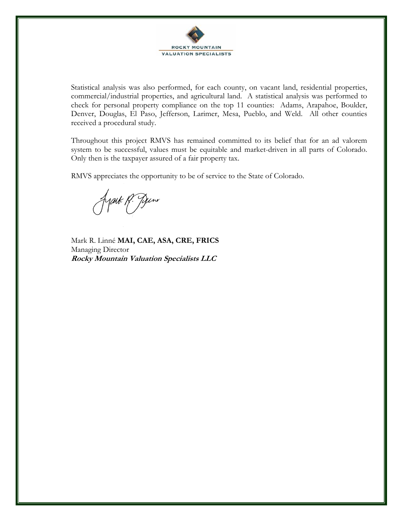

Statistical analysis was also performed, for each county, on vacant land, residential properties, commercial/industrial properties, and agricultural land. A statistical analysis was performed to check for personal property compliance on the top 11 counties: Adams, Arapahoe, Boulder, Denver, Douglas, El Paso, Jefferson, Larimer, Mesa, Pueblo, and Weld. All other counties received a procedural study.

Throughout this project RMVS has remained committed to its belief that for an ad valorem system to be successful, values must be equitable and market-driven in all parts of Colorado. Only then is the taxpayer assured of a fair property tax.

RMVS appreciates the opportunity to be of service to the State of Colorado.

fyark Pr. Juno

Mark R. Linné **MAI, CAE, ASA, CRE, FRICS** Managing Director **Rocky Mountain Valuation Specialists LLC**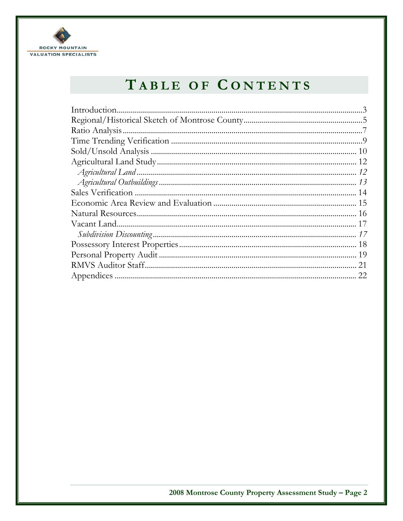

# TABLE OF CONTENTS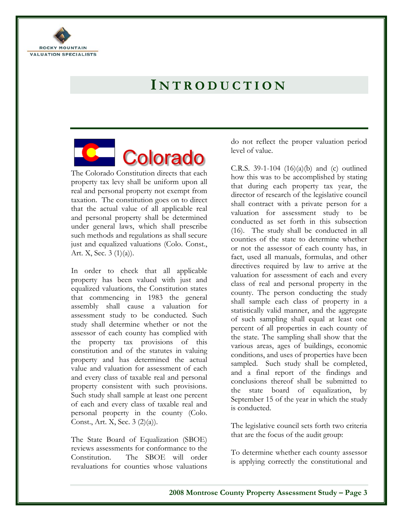

# **I NTRODUCTION**

# Colorado

The Colorado Constitution directs that each property tax levy shall be uniform upon all real and personal property not exempt from taxation. The constitution goes on to direct that the actual value of all applicable real and personal property shall be determined under general laws, which shall prescribe such methods and regulations as shall secure just and equalized valuations (Colo. Const., Art. X, Sec. 3 (1)(a)).

In order to check that all applicable property has been valued with just and equalized valuations, the Constitution states that commencing in 1983 the general assembly shall cause a valuation for assessment study to be conducted. Such study shall determine whether or not the assessor of each county has complied with the property tax provisions of this constitution and of the statutes in valuing property and has determined the actual value and valuation for assessment of each and every class of taxable real and personal property consistent with such provisions. Such study shall sample at least one percent of each and every class of taxable real and personal property in the county (Colo. Const., Art. X, Sec. 3 (2)(a)).

The State Board of Equalization (SBOE) reviews assessments for conformance to the Constitution. The SBOE will order revaluations for counties whose valuations

do not reflect the proper valuation period level of value.

C.R.S. 39-1-104  $(16)(a)(b)$  and  $(c)$  outlined how this was to be accomplished by stating that during each property tax year, the director of research of the legislative council shall contract with a private person for a valuation for assessment study to be conducted as set forth in this subsection (16). The study shall be conducted in all counties of the state to determine whether or not the assessor of each county has, in fact, used all manuals, formulas, and other directives required by law to arrive at the valuation for assessment of each and every class of real and personal property in the county. The person conducting the study shall sample each class of property in a statistically valid manner, and the aggregate of such sampling shall equal at least one percent of all properties in each county of the state. The sampling shall show that the various areas, ages of buildings, economic conditions, and uses of properties have been sampled. Such study shall be completed, and a final report of the findings and conclusions thereof shall be submitted to the state board of equalization, by September 15 of the year in which the study is conducted.

The legislative council sets forth two criteria that are the focus of the audit group:

To determine whether each county assessor is applying correctly the constitutional and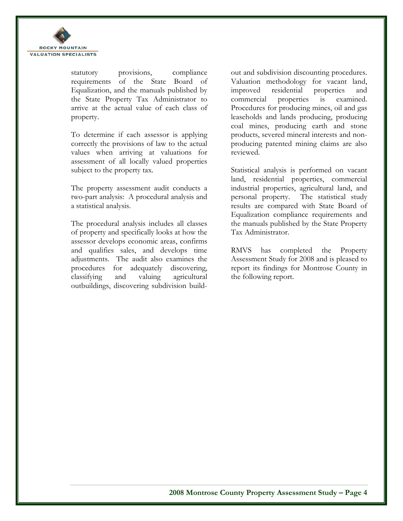

statutory provisions, compliance requirements of the State Board of Equalization, and the manuals published by the State Property Tax Administrator to arrive at the actual value of each class of property.

To determine if each assessor is applying correctly the provisions of law to the actual values when arriving at valuations for assessment of all locally valued properties subject to the property tax.

The property assessment audit conducts a two-part analysis: A procedural analysis and a statistical analysis.

The procedural analysis includes all classes of property and specifically looks at how the assessor develops economic areas, confirms and qualifies sales, and develops time adjustments. The audit also examines the procedures for adequately discovering, classifying and valuing agricultural outbuildings, discovering subdivision buildout and subdivision discounting procedures. Valuation methodology for vacant land, improved residential properties and commercial properties is examined. Procedures for producing mines, oil and gas leaseholds and lands producing, producing coal mines, producing earth and stone products, severed mineral interests and nonproducing patented mining claims are also reviewed.

Statistical analysis is performed on vacant land, residential properties, commercial industrial properties, agricultural land, and personal property. The statistical study results are compared with State Board of Equalization compliance requirements and the manuals published by the State Property Tax Administrator.

RMVS has completed the Property Assessment Study for 2008 and is pleased to report its findings for Montrose County in the following report.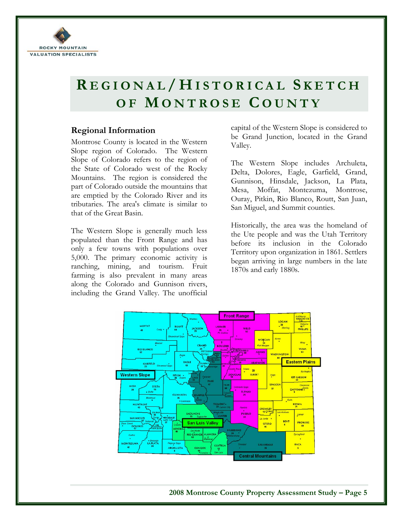

# **R EGIONAL / H ISTORICAL S KETCH OF M ONTROSE C OUNTY**

# **Regional Information**

Montrose County is located in the Western Slope region of Colorado. The Western Slope of Colorado refers to the region of the State of Colorado west of the Rocky Mountains. The region is considered the part of Colorado outside the mountains that are emptied by the Colorado River and its tributaries. The area's climate is similar to that of the Great Basin.

The Western Slope is generally much less populated than the Front Range and has only a few towns with populations over 5,000. The primary economic activity is ranching, mining, and tourism. Fruit farming is also prevalent in many areas along the Colorado and Gunnison rivers, including the Grand Valley. The unofficial capital of the Western Slope is considered to be Grand Junction, located in the Grand Valley.

The Western Slope includes Archuleta, Delta, Dolores, Eagle, Garfield, Grand, Gunnison, Hinsdale, Jackson, La Plata, Mesa, Moffat, Montezuma, Montrose, Ouray, Pitkin, Rio Blanco, Routt, San Juan, San Miguel, and Summit counties.

Historically, the area was the homeland of the Ute people and was the Utah Territory before its inclusion in the Colorado Territory upon organization in 1861. Settlers began arriving in large numbers in the late 1870s and early 1880s.

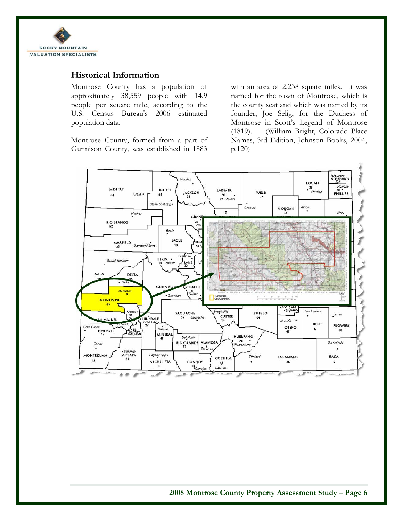

# **Historical Information**

Montrose County has a population of approximately 38,559 people with 14.9 people per square mile, according to the U.S. Census Bureau's 2006 estimated population data.

Montrose County, formed from a part of Gunnison County, was established in 1883

with an area of 2,238 square miles. It was named for the town of Montrose, which is the county seat and which was named by its founder, Joe Selig, for the Duchess of Montrose in Scott's Legend of Montrose (1819). (William Bright, Colorado Place Names, 3rd Edition, Johnson Books, 2004, p.120)

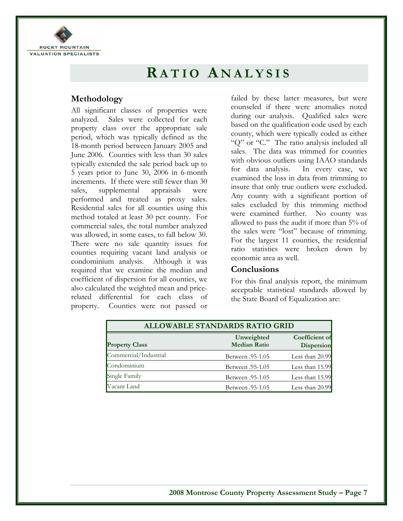

# **RATIO A NALYSIS**

# **Methodology**

All significant classes of properties were analyzed. Sales were collected for each property class over the appropriate sale period, which was typically defined as the 18-month period between January 2005 and June 2006. Counties with less than 30 sales typically extended the sale period back up to 5 years prior to June 30, 2006 in 6-month increments. If there were still fewer than 30 sales, supplemental appraisals were performed and treated as proxy sales. Residential sales for all counties using this method totaled at least 30 per county. For commercial sales, the total number analyzed was allowed, in some cases, to fall below 30. There were no sale quantity issues for counties requiring vacant land analysis or condominium analysis. Although it was required that we examine the median and coefficient of dispersion for all counties, we also calculated the weighted mean and pricerelated differential for each class of property. Counties were not passed or

failed by these latter measures, but were counseled if there were anomalies noted during our analysis. Qualified sales were based on the qualification code used by each county, which were typically coded as either "Q" or "C." The ratio analysis included all sales. The data was trimmed for counties with obvious outliers using IAAO standards for data analysis. In every case, we examined the loss in data from trimming to insure that only true outliers were excluded. Any county with a significant portion of sales excluded by this trimming method were examined further. No county was allowed to pass the audit if more than 5% of the sales were "lost" because of trimming. For the largest 11 counties, the residential ratio statistics were broken down by economic area as well.

### **Conclusions**

For this final analysis report, the minimum acceptable statistical standards allowed by the State Board of Equalization are:

| <b>ALLOWABLE STANDARDS RATIO GRID</b> |                                   |                              |  |
|---------------------------------------|-----------------------------------|------------------------------|--|
| <b>Property Class</b>                 | Unweighted<br><b>Median Ratio</b> | Coefficient of<br>Dispersion |  |
| Commercial/Industrial                 | <b>Between</b> .95-1.05           | Less than 20.99              |  |
| Condominium                           | <b>Between</b> .95-1.05           | Less than 15.99              |  |
| Single Family                         | Between .95-1.05                  | Less than 15.99              |  |
| Vacant Land                           | <b>Between</b> .95-1.05           | Less than 20.99              |  |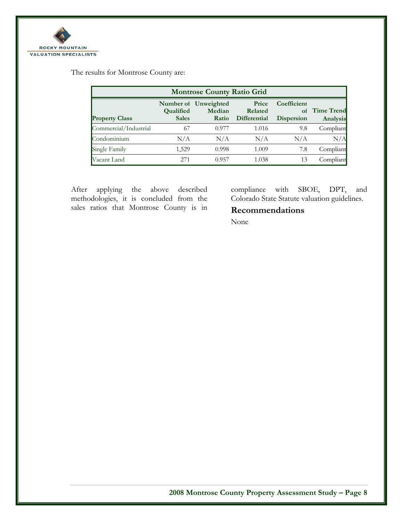

The results for Montrose County are:

| <b>Montrose County Ratio Grid</b> |                           |                                         |                                         |                                        |                               |
|-----------------------------------|---------------------------|-----------------------------------------|-----------------------------------------|----------------------------------------|-------------------------------|
| <b>Property Class</b>             | Qualified<br><b>Sales</b> | Number of Unweighted<br>Median<br>Ratio | Price<br>Related<br><b>Differential</b> | Coefficient<br>of<br><b>Dispersion</b> | <b>Time Trend</b><br>Analysis |
| Commercial/Industrial             | 67                        | 0.977                                   | 1.016                                   | 9.8                                    | Compliant                     |
| Condominium                       | N/A                       | N/A                                     | N/A                                     | N/A                                    | N/A                           |
| Single Family                     | 1,529                     | 0.998                                   | 1.009                                   | 7.8                                    | Compliant                     |
| Vacant Land                       | 271                       | 0.957                                   | 1.038                                   | 13                                     | Compliant                     |

After applying the above described methodologies, it is concluded from the sales ratios that Montrose County is in

compliance with SBOE, DPT, and Colorado State Statute valuation guidelines.

# **Recommendations**

None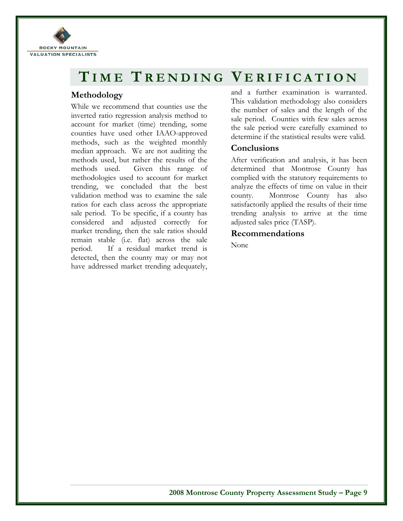

# **TIME T RENDING V ERIFICATION**

# **Methodology**

While we recommend that counties use the inverted ratio regression analysis method to account for market (time) trending, some counties have used other IAAO-approved methods, such as the weighted monthly median approach. We are not auditing the methods used, but rather the results of the methods used. Given this range of methodologies used to account for market trending, we concluded that the best validation method was to examine the sale ratios for each class across the appropriate sale period. To be specific, if a county has considered and adjusted correctly for market trending, then the sale ratios should remain stable (i.e. flat) across the sale period. If a residual market trend is detected, then the county may or may not have addressed market trending adequately,

and a further examination is warranted. This validation methodology also considers the number of sales and the length of the sale period. Counties with few sales across the sale period were carefully examined to determine if the statistical results were valid.

## **Conclusions**

After verification and analysis, it has been determined that Montrose County has complied with the statutory requirements to analyze the effects of time on value in their county. Montrose County has also satisfactorily applied the results of their time trending analysis to arrive at the time adjusted sales price (TASP).

## **Recommendations**

None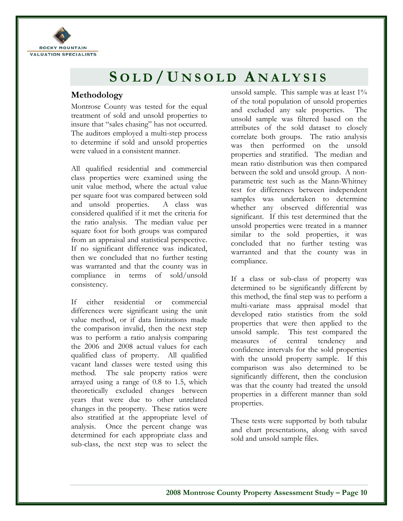

# **S OLD / U NSOLD A NALYSIS**

# **Methodology**

Montrose County was tested for the equal treatment of sold and unsold properties to insure that "sales chasing" has not occurred. The auditors employed a multi-step process to determine if sold and unsold properties were valued in a consistent manner.

All qualified residential and commercial class properties were examined using the unit value method, where the actual value per square foot was compared between sold and unsold properties. A class was considered qualified if it met the criteria for the ratio analysis. The median value per square foot for both groups was compared from an appraisal and statistical perspective. If no significant difference was indicated, then we concluded that no further testing was warranted and that the county was in compliance in terms of sold/unsold consistency.

If either residential or commercial differences were significant using the unit value method, or if data limitations made the comparison invalid, then the next step was to perform a ratio analysis comparing the 2006 and 2008 actual values for each qualified class of property. All qualified vacant land classes were tested using this method. The sale property ratios were arrayed using a range of 0.8 to 1.5, which theoretically excluded changes between years that were due to other unrelated changes in the property. These ratios were also stratified at the appropriate level of analysis. Once the percent change was determined for each appropriate class and sub-class, the next step was to select the unsold sample. This sample was at least 1% of the total population of unsold properties and excluded any sale properties. The unsold sample was filtered based on the attributes of the sold dataset to closely correlate both groups. The ratio analysis was then performed on the unsold properties and stratified. The median and mean ratio distribution was then compared between the sold and unsold group. A nonparametric test such as the Mann-Whitney test for differences between independent samples was undertaken to determine whether any observed differential was significant. If this test determined that the unsold properties were treated in a manner similar to the sold properties, it was concluded that no further testing was warranted and that the county was in compliance.

If a class or sub-class of property was determined to be significantly different by this method, the final step was to perform a multi-variate mass appraisal model that developed ratio statistics from the sold properties that were then applied to the unsold sample. This test compared the measures of central tendency and confidence intervals for the sold properties with the unsold property sample. If this comparison was also determined to be significantly different, then the conclusion was that the county had treated the unsold properties in a different manner than sold properties.

These tests were supported by both tabular and chart presentations, along with saved sold and unsold sample files.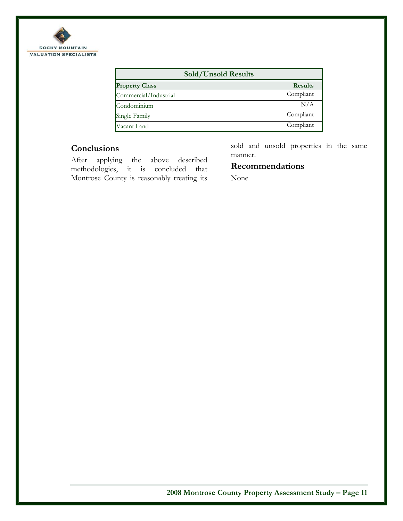

| Sold/Unsold Results   |                |
|-----------------------|----------------|
| <b>Property Class</b> | <b>Results</b> |
| Commercial/Industrial | Compliant      |
| Condominium           | N/A            |
| Single Family         | Compliant      |
| Vacant Land           | Compliant      |

# **Conclusions**

After applying the above described methodologies, it is concluded that Montrose County is reasonably treating its sold and unsold properties in the same manner.

# **Recommendations**

None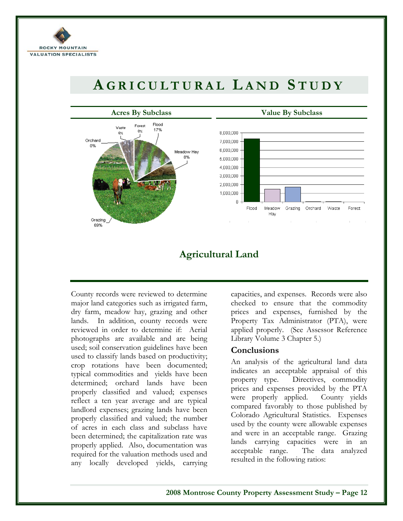

# **A GRICULTURAL L AND S TUDY**



# **Agricultural Land**

County records were reviewed to determine major land categories such as irrigated farm, dry farm, meadow hay, grazing and other lands. In addition, county records were reviewed in order to determine if: Aerial photographs are available and are being used; soil conservation guidelines have been used to classify lands based on productivity; crop rotations have been documented; typical commodities and yields have been determined; orchard lands have been properly classified and valued; expenses reflect a ten year average and are typical landlord expenses; grazing lands have been properly classified and valued; the number of acres in each class and subclass have been determined; the capitalization rate was properly applied. Also, documentation was required for the valuation methods used and any locally developed yields, carrying

capacities, and expenses. Records were also checked to ensure that the commodity prices and expenses, furnished by the Property Tax Administrator (PTA), were applied properly. (See Assessor Reference Library Volume 3 Chapter 5.)

# **Conclusions**

An analysis of the agricultural land data indicates an acceptable appraisal of this property type. Directives, commodity prices and expenses provided by the PTA were properly applied. County yields compared favorably to those published by Colorado Agricultural Statistics. Expenses used by the county were allowable expenses and were in an acceptable range. Grazing lands carrying capacities were in an acceptable range. The data analyzed resulted in the following ratios: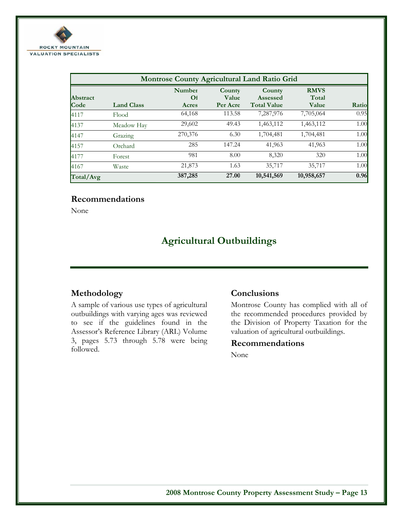

| Montrose County Agricultural Land Ratio Grid |                   |                                    |                             |                                                 |                               |       |
|----------------------------------------------|-------------------|------------------------------------|-----------------------------|-------------------------------------------------|-------------------------------|-------|
| <b>Abstract</b><br>Code                      | <b>Land Class</b> | <b>Number</b><br>$\Omega$<br>Acres | County<br>Value<br>Per Acre | County<br><b>Assessed</b><br><b>Total Value</b> | <b>RMVS</b><br>Total<br>Value | Ratio |
| 4117                                         | Flood             | 64,168                             | 113.58                      | 7,287,976                                       | 7,705,064                     | 0.95  |
| 4137                                         | Meadow Hay        | 29,602                             | 49.43                       | 1,463,112                                       | 1,463,112                     | 1.00  |
| 4147                                         | Grazing           | 270,376                            | 6.30                        | 1,704,481                                       | 1,704,481                     | 1.00  |
| 4157                                         | Orchard           | 285                                | 147.24                      | 41,963                                          | 41,963                        | 1.00  |
| 4177                                         | Forest            | 981                                | 8.00                        | 8,320                                           | 320                           | 1.00  |
| 4167                                         | Waste             | 21,873                             | 1.63                        | 35,717                                          | 35,717                        | 1.00  |
| Total/Avg                                    |                   | 387,285                            | 27.00                       | 10,541,569                                      | 10,958,657                    | 0.96  |

# **Recommendations**

None

# **Agricultural Outbuildings**

# **Methodology**

A sample of various use types of agricultural outbuildings with varying ages was reviewed to see if the guidelines found in the Assessor's Reference Library (ARL) Volume 3, pages 5.73 through 5.78 were being followed.

# **Conclusions**

Montrose County has complied with all of the recommended procedures provided by the Division of Property Taxation for the valuation of agricultural outbuildings.

### **Recommendations**

None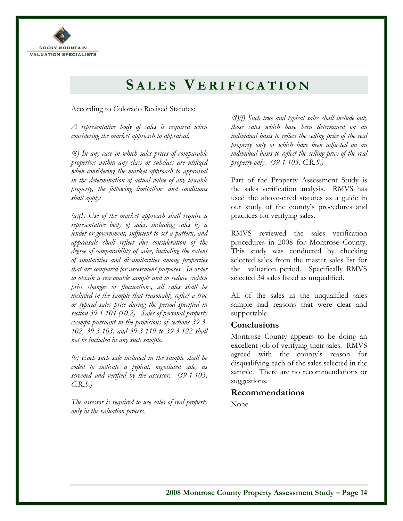

# **S ALES V ERIFICATION**

### According to Colorado Revised Statutes:

*A representative body of sales is required when considering the market approach to appraisal.* 

*(8) In any case in which sales prices of comparable properties within any class or subclass are utilized when considering the market approach to appraisal in the determination of actual value of any taxable property, the following limitations and conditions shall apply:* 

*(a)(I) Use of the market approach shall require a representative body of sales, including sales by a lender or government, sufficient to set a pattern, and appraisals shall reflect due consideration of the degree of comparability of sales, including the extent of similarities and dissimilarities among properties that are compared for assessment purposes. In order to obtain a reasonable sample and to reduce sudden price changes or fluctuations, all sales shall be included in the sample that reasonably reflect a true or typical sales price during the period specified in section 39-1-104 (10.2). Sales of personal property exempt pursuant to the provisions of sections 39-3- 102, 39-3-103, and 39-3-119 to 39-3-122 shall not be included in any such sample.* 

*(b) Each such sale included in the sample shall be coded to indicate a typical, negotiated sale, as screened and verified by the assessor. (39-1-103, C.R.S.)* 

*The assessor is required to use sales of real property only in the valuation process.* 

*(8)(f) Such true and typical sales shall include only those sales which have been determined on an individual basis to reflect the selling price of the real property only or which have been adjusted on an individual basis to reflect the selling price of the real property only. (39-1-103, C.R.S.)* 

Part of the Property Assessment Study is the sales verification analysis. RMVS has used the above-cited statutes as a guide in our study of the county's procedures and practices for verifying sales.

RMVS reviewed the sales verification procedures in 2008 for Montrose County. This study was conducted by checking selected sales from the master sales list for the valuation period. Specifically RMVS selected 34 sales listed as unqualified.

All of the sales in the unqualified sales sample had reasons that were clear and supportable.

### **Conclusions**

Montrose County appears to be doing an excellent job of verifying their sales. RMVS agreed with the county's reason for disqualifying each of the sales selected in the sample. There are no recommendations or suggestions.

# **Recommendations**

None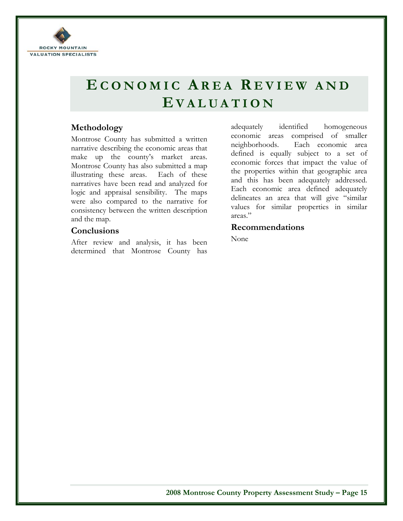

# **E CONOMIC A REA R EVIEW AND E VALUATION**

# **Methodology**

Montrose County has submitted a written narrative describing the economic areas that make up the county's market areas. Montrose County has also submitted a map illustrating these areas. Each of these narratives have been read and analyzed for logic and appraisal sensibility. The maps were also compared to the narrative for consistency between the written description and the map.

## **Conclusions**

After review and analysis, it has been determined that Montrose County has

adequately identified homogeneous economic areas comprised of smaller neighborhoods. Each economic area defined is equally subject to a set of economic forces that impact the value of the properties within that geographic area and this has been adequately addressed. Each economic area defined adequately delineates an area that will give "similar values for similar properties in similar areas."

## **Recommendations**

None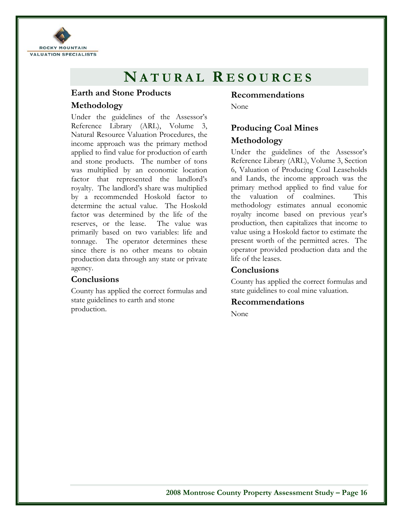

# **N ATURAL R ESOURCES**

# **Earth and Stone Products Methodology**

Under the guidelines of the Assessor's Reference Library (ARL), Volume 3, Natural Resource Valuation Procedures, the income approach was the primary method applied to find value for production of earth and stone products. The number of tons was multiplied by an economic location factor that represented the landlord's royalty. The landlord's share was multiplied by a recommended Hoskold factor to determine the actual value. The Hoskold factor was determined by the life of the reserves, or the lease. The value was primarily based on two variables: life and tonnage. The operator determines these since there is no other means to obtain production data through any state or private agency.

### **Conclusions**

County has applied the correct formulas and state guidelines to earth and stone production.

# **Recommendations**

None

# **Producing Coal Mines Methodology**

Under the guidelines of the Assessor's Reference Library (ARL), Volume 3, Section 6, Valuation of Producing Coal Leaseholds and Lands, the income approach was the primary method applied to find value for the valuation of coalmines. This methodology estimates annual economic royalty income based on previous year's production, then capitalizes that income to value using a Hoskold factor to estimate the present worth of the permitted acres. The operator provided production data and the life of the leases.

# **Conclusions**

County has applied the correct formulas and state guidelines to coal mine valuation.

### **Recommendations**

None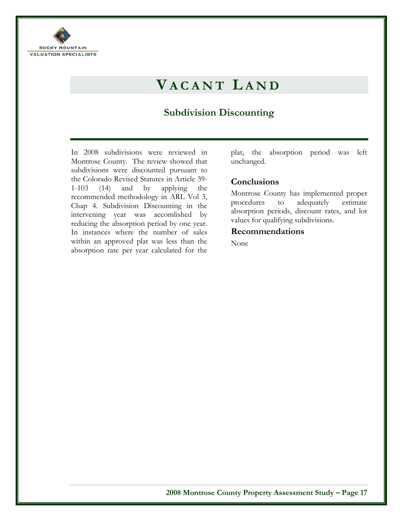

# **V ACANT L AND**

# **Subdivision Discounting**

In 2008 subdivisions were reviewed in Montrose County. The review showed that subdivisions were discounted pursuant to the Colorado Revised Statutes in Article 39- 1-103 (14) and by applying the recommended methodology in ARL Vol 3, Chap 4. Subdivision Discounting in the intervening year was accomlished by reducing the absorption period by one year. In instances where the number of sales within an approved plat was less than the absorption rate per year calculated for the

plat, the absorption period was left unchanged.

# **Conclusions**

Montrose County has implemented proper procedures to adequately estimate absorption periods, discount rates, and lot values for qualifying subdivisions.

### **Recommendations**

None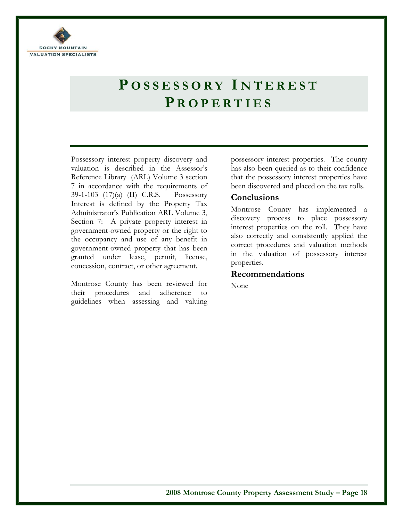

# **P OSSESSORY I NTEREST P ROPERTIES**

Possessory interest property discovery and valuation is described in the Assessor's Reference Library (ARL) Volume 3 section 7 in accordance with the requirements of 39-1-103 (17)(a) (II) C.R.S. Possessory Interest is defined by the Property Tax Administrator's Publication ARL Volume 3, Section 7: A private property interest in government-owned property or the right to the occupancy and use of any benefit in government-owned property that has been granted under lease, permit, license, concession, contract, or other agreement.

Montrose County has been reviewed for their procedures and adherence to guidelines when assessing and valuing possessory interest properties. The county has also been queried as to their confidence that the possessory interest properties have been discovered and placed on the tax rolls.

### **Conclusions**

Montrose County has implemented a discovery process to place possessory interest properties on the roll. They have also correctly and consistently applied the correct procedures and valuation methods in the valuation of possessory interest properties.

### **Recommendations**

None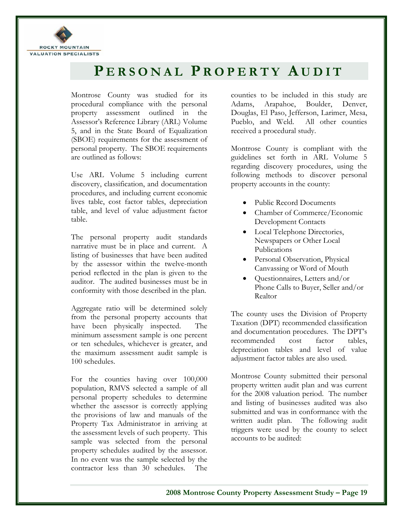

# **P ERSONAL P ROPERTY A UDIT**

Montrose County was studied for its procedural compliance with the personal property assessment outlined in the Assessor's Reference Library (ARL) Volume 5, and in the State Board of Equalization (SBOE) requirements for the assessment of personal property. The SBOE requirements are outlined as follows:

Use ARL Volume 5 including current discovery, classification, and documentation procedures, and including current economic lives table, cost factor tables, depreciation table, and level of value adjustment factor table.

The personal property audit standards narrative must be in place and current. A listing of businesses that have been audited by the assessor within the twelve-month period reflected in the plan is given to the auditor. The audited businesses must be in conformity with those described in the plan.

Aggregate ratio will be determined solely from the personal property accounts that have been physically inspected. The minimum assessment sample is one percent or ten schedules, whichever is greater, and the maximum assessment audit sample is 100 schedules.

For the counties having over 100,000 population, RMVS selected a sample of all personal property schedules to determine whether the assessor is correctly applying the provisions of law and manuals of the Property Tax Administrator in arriving at the assessment levels of such property. This sample was selected from the personal property schedules audited by the assessor. In no event was the sample selected by the contractor less than 30 schedules. The counties to be included in this study are Adams, Arapahoe, Boulder, Denver, Douglas, El Paso, Jefferson, Larimer, Mesa, Pueblo, and Weld. All other counties received a procedural study.

Montrose County is compliant with the guidelines set forth in ARL Volume 5 regarding discovery procedures, using the following methods to discover personal property accounts in the county:

- Public Record Documents
- Chamber of Commerce/Economic Development Contacts
- Local Telephone Directories, Newspapers or Other Local Publications
- Personal Observation, Physical Canvassing or Word of Mouth
- Questionnaires, Letters and/or Phone Calls to Buyer, Seller and/or Realtor

The county uses the Division of Property Taxation (DPT) recommended classification and documentation procedures. The DPT's recommended cost factor tables, depreciation tables and level of value adjustment factor tables are also used.

Montrose County submitted their personal property written audit plan and was current for the 2008 valuation period. The number and listing of businesses audited was also submitted and was in conformance with the written audit plan. The following audit triggers were used by the county to select accounts to be audited: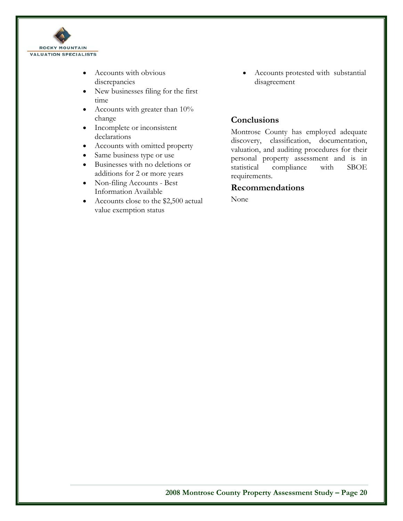

- Accounts with obvious discrepancies
- New businesses filing for the first time
- Accounts with greater than 10% change
- Incomplete or inconsistent declarations
- Accounts with omitted property
- Same business type or use
- Businesses with no deletions or additions for 2 or more years
- Non-filing Accounts Best Information Available
- Accounts close to the \$2,500 actual value exemption status

• Accounts protested with substantial disagreement

# **Conclusions**

Montrose County has employed adequate discovery, classification, documentation, valuation, and auditing procedures for their personal property assessment and is in statistical compliance with SBOE requirements.

# **Recommendations**

None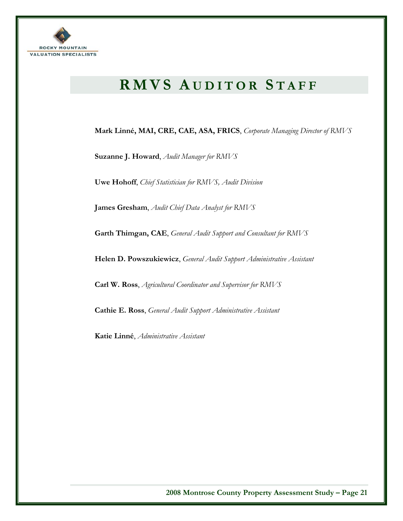

# **RMVS A UDITOR S TAFF**

**Mark Linné, MAI, CRE, CAE, ASA, FRICS**, *Corporate Managing Director of RMVS*

**Suzanne J. Howard**, *Audit Manager for RMVS*

**Uwe Hohoff**, *Chief Statistician for RMVS, Audit Division* 

**James Gresham**, *Audit Chief Data Analyst for RMVS*

**Garth Thimgan, CAE**, *General Audit Support and Consultant for RMVS*

**Helen D. Powszukiewicz**, *General Audit Support Administrative Assistant*

**Carl W. Ross**, *Agricultural Coordinator and Supervisor for RMVS*

**Cathie E. Ross**, *General Audit Support Administrative Assistant* 

**Katie Linné**, *Administrative Assistant*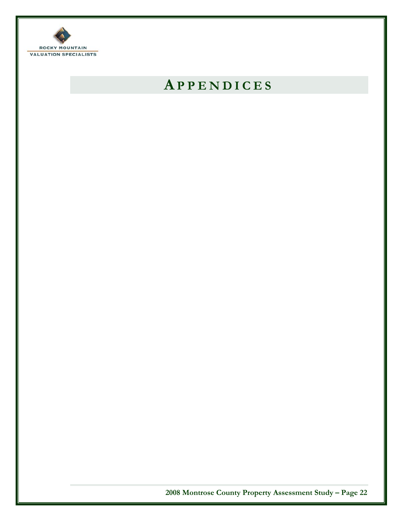

# **A PPENDICES**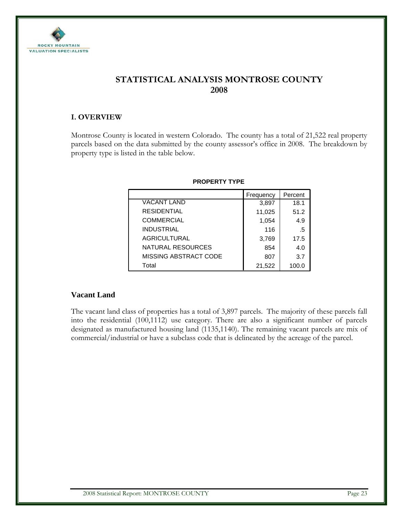

# **STATISTICAL ANALYSIS MONTROSE COUNTY 2008**

### **I. OVERVIEW**

Montrose County is located in western Colorado. The county has a total of 21,522 real property parcels based on the data submitted by the county assessor's office in 2008. The breakdown by property type is listed in the table below.

|                       | Frequency | Percent |
|-----------------------|-----------|---------|
| <b>VACANT LAND</b>    | 3,897     | 18.1    |
| <b>RESIDENTIAL</b>    | 11,025    | 51.2    |
| <b>COMMERCIAL</b>     | 1,054     | 4.9     |
| <b>INDUSTRIAL</b>     | 116       | .5      |
| <b>AGRICULTURAL</b>   | 3,769     | 17.5    |
| NATURAL RESOURCES     | 854       | 4.0     |
| MISSING ABSTRACT CODE | 807       | 3.7     |
| Total                 | 21,522    | 100.0   |

### **PROPERTY TYPE**

### **Vacant Land**

The vacant land class of properties has a total of 3,897 parcels. The majority of these parcels fall into the residential (100,1112) use category. There are also a significant number of parcels designated as manufactured housing land (1135,1140). The remaining vacant parcels are mix of commercial/industrial or have a subclass code that is delineated by the acreage of the parcel.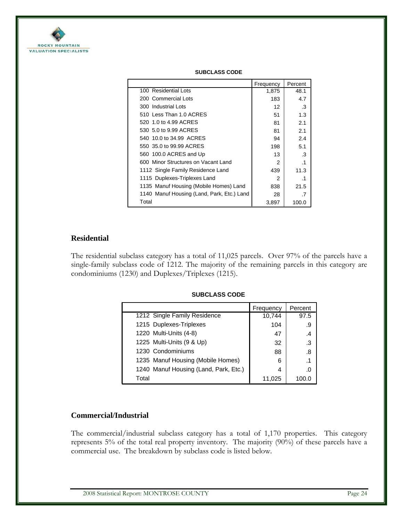

|                                            | Frequency     | Percent   |
|--------------------------------------------|---------------|-----------|
| 100 Residential Lots                       | 1,875         | 48.1      |
| 200 Commercial Lots                        | 183           | 4.7       |
| 300 Industrial Lots                        | 12            | .3        |
| 510 Less Than 1.0 ACRES                    | 51            | 1.3       |
| 520 1.0 to 4.99 ACRES                      | 81            | 2.1       |
| 530 5.0 to 9.99 ACRES                      | 81            | 2.1       |
| 540 10.0 to 34.99 ACRES                    | 94            | 2.4       |
| 550 35.0 to 99.99 ACRES                    | 198           | 5.1       |
| 560 100.0 ACRES and Up                     | 13            | .3        |
| 600 Minor Structures on Vacant Land        | $\mathcal{P}$ | $\cdot$ 1 |
| 1112 Single Family Residence Land          | 439           | 11.3      |
| 1115 Duplexes-Triplexes Land               | 2             | .1        |
| 1135 Manuf Housing (Mobile Homes) Land     | 838           | 21.5      |
| 1140 Manuf Housing (Land, Park, Etc.) Land | 28            | .7        |
| Total                                      | 3,897         | 100.0     |

#### **SUBCLASS CODE**

### **Residential**

The residential subclass category has a total of 11,025 parcels. Over 97% of the parcels have a single-family subclass code of 1212. The majority of the remaining parcels in this category are condominiums (1230) and Duplexes/Triplexes (1215).

|                                       | Frequency | Percent |
|---------------------------------------|-----------|---------|
| 1212 Single Family Residence          | 10,744    | 97.5    |
| 1215 Duplexes-Triplexes               | 104       | .9      |
| 1220 Multi-Units (4-8)                | 47        | .4      |
| 1225 Multi-Units (9 & Up)             | 32        | .3      |
| 1230 Condominiums                     | 88        | .8      |
| 1235 Manuf Housing (Mobile Homes)     | 6         | .1      |
| 1240 Manuf Housing (Land, Park, Etc.) | 4         | .በ      |
| Total                                 | 11.025    | 100.C   |

#### **SUBCLASS CODE**

#### **Commercial/Industrial**

The commercial/industrial subclass category has a total of 1,170 properties. This category represents 5% of the total real property inventory. The majority (90%) of these parcels have a commercial use. The breakdown by subclass code is listed below.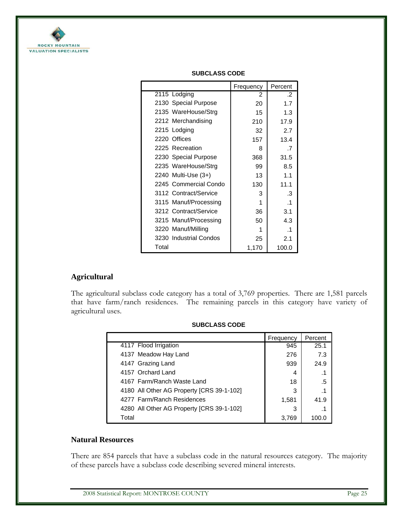

|                        | Frequency | Percent   |
|------------------------|-----------|-----------|
| 2115 Lodging           | 2         | .2        |
| 2130 Special Purpose   | 20        | 1.7       |
| 2135 WareHouse/Strg    | 15        | 1.3       |
| 2212 Merchandising     | 210       | 17.9      |
| 2215 Lodging           | 32        | 2.7       |
| 2220 Offices           | 157       | 13.4      |
| 2225 Recreation        | 8         | .7        |
| 2230 Special Purpose   | 368       | 31.5      |
| 2235 WareHouse/Strg    | 99        | 8.5       |
| 2240 Multi-Use (3+)    | 13        | 1.1       |
| 2245 Commercial Condo  | 130       | 11.1      |
| 3112 Contract/Service  | 3         | .3        |
| 3115 Manuf/Processing  | 1         | $\cdot$ 1 |
| 3212 Contract/Service  | 36        | 3.1       |
| 3215 Manuf/Processing  | 50        | 4.3       |
| 3220 Manuf/Milling     | 1         | .1        |
| 3230 Industrial Condos | 25        | 2.1       |
| Total                  | 1,170     | 100.0     |

### **SUBCLASS CODE**

### **Agricultural**

The agricultural subclass code category has a total of 3,769 properties. There are 1,581 parcels that have farm/ranch residences. The remaining parcels in this category have variety of agricultural uses.

|                                           | Frequency | Percent   |
|-------------------------------------------|-----------|-----------|
| 4117 Flood Irrigation                     | 945       | 25.1      |
| 4137 Meadow Hay Land                      | 276       | 7.3       |
| 4147 Grazing Land                         | 939       | 24.9      |
| 4157 Orchard Land                         | 4         | .1        |
| 4167 Farm/Ranch Waste Land                | 18        | .5        |
| 4180 All Other AG Property [CRS 39-1-102] | 3         | $\cdot$ 1 |
| 4277 Farm/Ranch Residences                | 1,581     | 41.9      |
| 4280 All Other AG Property [CRS 39-1-102] | 3         | .1        |
| Total                                     | 3.769     | 100 O     |

#### **SUBCLASS CODE**

### **Natural Resources**

There are 854 parcels that have a subclass code in the natural resources category. The majority of these parcels have a subclass code describing severed mineral interests.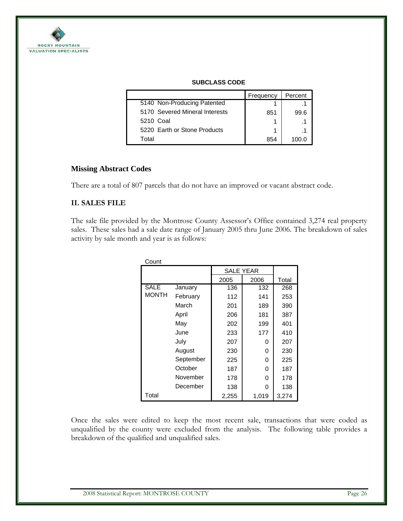

|                                | Frequency | Percent |
|--------------------------------|-----------|---------|
| 5140 Non-Producing Patented    |           |         |
| 5170 Severed Mineral Interests | 851       | 99.6    |
| 5210 Coal                      |           |         |
| 5220 Earth or Stone Products   |           |         |
| Total                          | 854       |         |

#### **SUBCLASS CODE**

### **Missing Abstract Codes**

There are a total of 807 parcels that do not have an improved or vacant abstract code.

### **II. SALES FILE**

The sale file provided by the Montrose County Assessor's Office contained 3,274 real property sales. These sales had a sale date range of January 2005 thru June 2006. The breakdown of sales activity by sale month and year is as follows:

| Count        |           |                  |       |       |
|--------------|-----------|------------------|-------|-------|
|              |           | <b>SALE YEAR</b> |       |       |
|              |           | 2005             | 2006  | Total |
| <b>SALE</b>  | January   | 136              | 132   | 268   |
| <b>MONTH</b> | February  | 112              | 141   | 253   |
|              | March     | 201              | 189   | 390   |
|              | April     | 206              | 181   | 387   |
|              | Mav       | 202              | 199   | 401   |
|              | June      | 233              | 177   | 410   |
|              | July      | 207              | 0     | 207   |
|              | August    | 230              | 0     | 230   |
|              | September | 225              | 0     | 225   |
|              | October   | 187              | 0     | 187   |
|              | November  | 178              | 0     | 178   |
|              | December  | 138              | 0     | 138   |
| Total        |           | 2,255            | 1,019 | 3,274 |

Once the sales were edited to keep the most recent sale, transactions that were coded as unqualified by the county were excluded from the analysis. The following table provides a breakdown of the qualified and unqualified sales.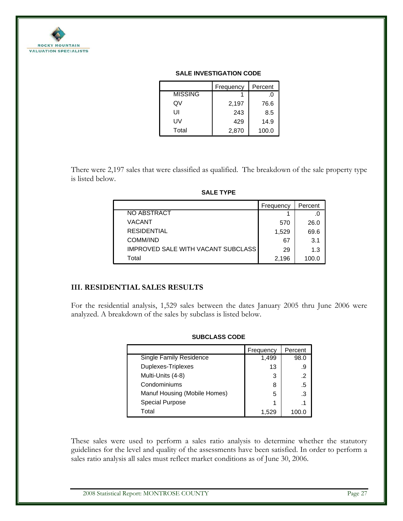

#### **SALE INVESTIGATION CODE**

|                | Frequency | Percent |
|----------------|-----------|---------|
| <b>MISSING</b> |           | .U      |
| Q٧             | 2,197     | 76.6    |
| UI             | 243       | 8.5     |
| UV             | 429       | 14.9    |
| Total          | 2,870     | 100.0   |

There were 2,197 sales that were classified as qualified. The breakdown of the sale property type is listed below.

|                                           | Frequency | Percent |
|-------------------------------------------|-----------|---------|
| NO ABSTRACT                               |           |         |
| VACANT                                    | 570       | 26.0    |
| <b>RESIDENTIAL</b>                        | 1,529     | 69.6    |
| COMM/IND                                  | 67        | 3.1     |
| <b>IMPROVED SALE WITH VACANT SUBCLASS</b> | 29        | 1.3     |
| Total                                     | 2.196     | 100.0   |

**SALE TYPE**

## **III. RESIDENTIAL SALES RESULTS**

For the residential analysis, 1,529 sales between the dates January 2005 thru June 2006 were analyzed. A breakdown of the sales by subclass is listed below.

|                                | Frequency | Percent |
|--------------------------------|-----------|---------|
| <b>Single Family Residence</b> | 1,499     | 98.0    |
| Duplexes-Triplexes             | 13        | .9      |
| Multi-Units (4-8)              | 3         | .2      |
| Condominiums                   | 8         | $.5\,$  |
| Manuf Housing (Mobile Homes)   | 5         | .3      |
| <b>Special Purpose</b>         |           |         |
| Total                          | 1.529     |         |

#### **SUBCLASS CODE**

These sales were used to perform a sales ratio analysis to determine whether the statutory guidelines for the level and quality of the assessments have been satisfied. In order to perform a sales ratio analysis all sales must reflect market conditions as of June 30, 2006.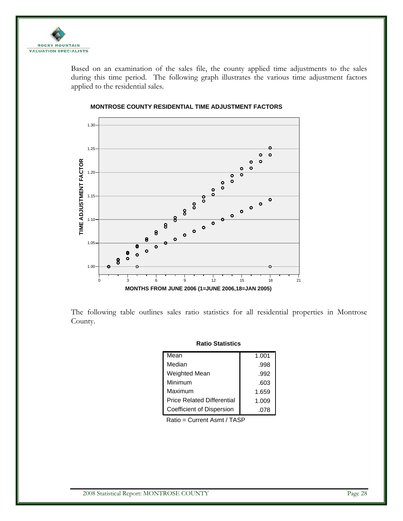

Based on an examination of the sales file, the county applied time adjustments to the sales during this time period. The following graph illustrates the various time adjustment factors applied to the residential sales.



### **MONTROSE COUNTY RESIDENTIAL TIME ADJUSTMENT FACTORS**

The following table outlines sales ratio statistics for all residential properties in Montrose County.

| nauv plausuus                     |       |  |  |
|-----------------------------------|-------|--|--|
| Mean                              | 1.001 |  |  |
| Median                            | .998  |  |  |
| <b>Weighted Mean</b>              | .992  |  |  |
| Minimum                           | .603  |  |  |
| Maximum                           | 1.659 |  |  |
| <b>Price Related Differential</b> | 1.009 |  |  |
| Coefficient of Dispersion         | .078  |  |  |

**Ratio Statistics**

Ratio = Current Asmt / TASP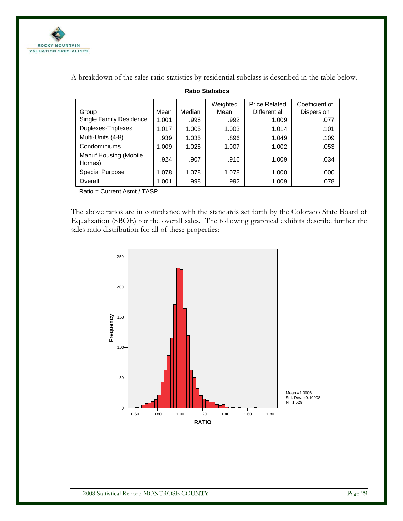

| Group                           | Mean  | Median | Weighted<br>Mean | <b>Price Related</b><br><b>Differential</b> | Coefficient of<br>Dispersion |
|---------------------------------|-------|--------|------------------|---------------------------------------------|------------------------------|
| <b>Single Family Residence</b>  | 1.001 | .998   | .992             | 1.009                                       | .077                         |
| Duplexes-Triplexes              | 1.017 | 1.005  | 1.003            | 1.014                                       | .101                         |
| Multi-Units (4-8)               | .939  | 1.035  | .896             | 1.049                                       | .109                         |
| Condominiums                    | 1.009 | 1.025  | 1.007            | 1.002                                       | .053                         |
| Manuf Housing (Mobile<br>Homes) | .924  | .907   | .916             | 1.009                                       | .034                         |
| <b>Special Purpose</b>          | 1.078 | 1.078  | 1.078            | 1.000                                       | .000                         |
| Overall                         | 1.001 | .998   | .992             | 1.009                                       | .078                         |

**Ratio Statistics**

A breakdown of the sales ratio statistics by residential subclass is described in the table below.

Ratio = Current Asmt / TASP

The above ratios are in compliance with the standards set forth by the Colorado State Board of Equalization (SBOE) for the overall sales. The following graphical exhibits describe further the sales ratio distribution for all of these properties:

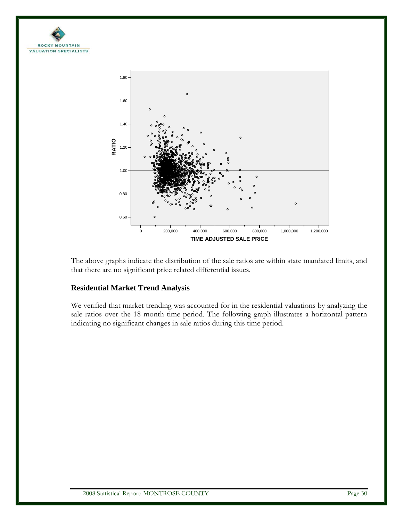



The above graphs indicate the distribution of the sale ratios are within state mandated limits, and that there are no significant price related differential issues.

### **Residential Market Trend Analysis**

We verified that market trending was accounted for in the residential valuations by analyzing the sale ratios over the 18 month time period. The following graph illustrates a horizontal pattern indicating no significant changes in sale ratios during this time period.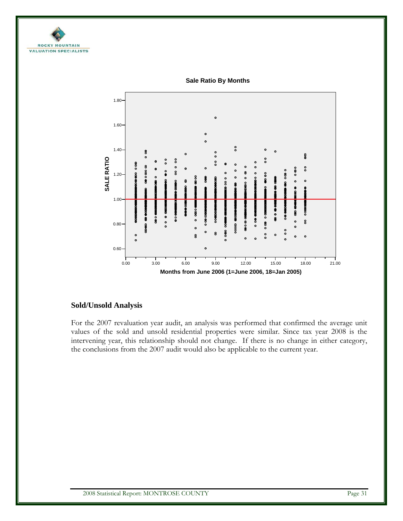



**Sale Ratio By Months**

### **Sold/Unsold Analysis**

For the 2007 revaluation year audit, an analysis was performed that confirmed the average unit values of the sold and unsold residential properties were similar. Since tax year 2008 is the intervening year, this relationship should not change. If there is no change in either category, the conclusions from the 2007 audit would also be applicable to the current year.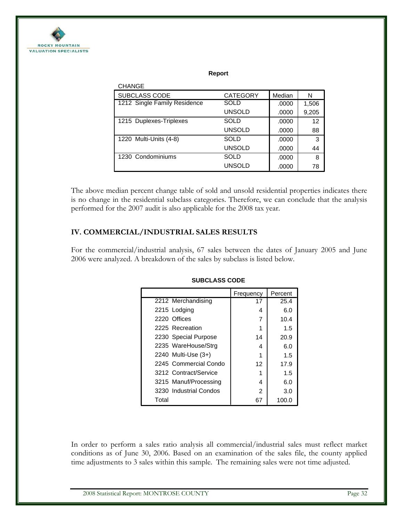

#### **Report**

| <b>CHANGE</b>                |                 |        |       |
|------------------------------|-----------------|--------|-------|
| <b>SUBCLASS CODE</b>         | <b>CATEGORY</b> | Median | N     |
| 1212 Single Family Residence | SOLD            | .0000  | 1,506 |
|                              | <b>UNSOLD</b>   | .0000  | 9,205 |
| 1215 Duplexes-Triplexes      | <b>SOLD</b>     | .0000  | 12    |
|                              | <b>UNSOLD</b>   | .0000  | 88    |
| 1220 Multi-Units (4-8)       | SOLD            | .0000  | 3     |
|                              | <b>UNSOLD</b>   | .0000  | 44    |
| 1230 Condominiums            | SOLD            | .0000  | 8     |
|                              | <b>UNSOLD</b>   | .0000  | 78    |

The above median percent change table of sold and unsold residential properties indicates there is no change in the residential subclass categories. Therefore, we can conclude that the analysis performed for the 2007 audit is also applicable for the 2008 tax year.

### **IV. COMMERCIAL/INDUSTRIAL SALES RESULTS**

For the commercial/industrial analysis, 67 sales between the dates of January 2005 and June 2006 were analyzed. A breakdown of the sales by subclass is listed below.

|       |                        | Frequency | Percent |
|-------|------------------------|-----------|---------|
|       | 2212 Merchandising     | 17        | 25.4    |
|       | 2215 Lodging           | 4         | 6.0     |
|       | 2220 Offices           |           | 10.4    |
|       | 2225 Recreation        |           | 1.5     |
|       | 2230 Special Purpose   | 14        | 20.9    |
|       | 2235 WareHouse/Strg    | 4         | 6.0     |
|       | 2240 Multi-Use $(3+)$  |           | 1.5     |
|       | 2245 Commercial Condo  | 12        | 17.9    |
|       | 3212 Contract/Service  |           | 1.5     |
|       | 3215 Manuf/Processing  | 4         | 6.0     |
|       | 3230 Industrial Condos | 2         | 3.0     |
| Total |                        | 67        | 100.0   |

#### **SUBCLASS CODE**

In order to perform a sales ratio analysis all commercial/industrial sales must reflect market conditions as of June 30, 2006. Based on an examination of the sales file, the county applied time adjustments to 3 sales within this sample. The remaining sales were not time adjusted.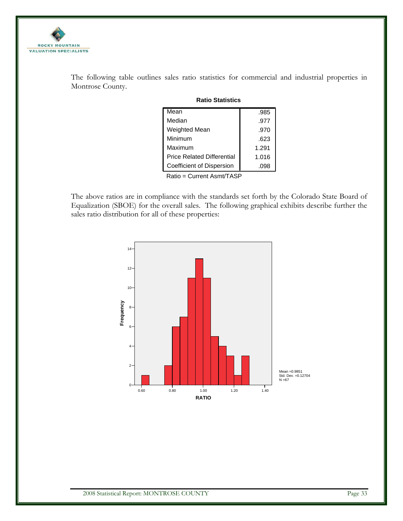

The following table outlines sales ratio statistics for commercial and industrial properties in Montrose County.

| Mean                              | .985  |
|-----------------------------------|-------|
| Median                            | .977  |
| Weighted Mean                     | .970  |
| Minimum                           | .623  |
| Maximum                           | 1.291 |
| <b>Price Related Differential</b> | 1.016 |
| <b>Coefficient of Dispersion</b>  | .098  |

**Ratio Statistics**

Ratio = Current Asmt/TASP

The above ratios are in compliance with the standards set forth by the Colorado State Board of Equalization (SBOE) for the overall sales. The following graphical exhibits describe further the sales ratio distribution for all of these properties:

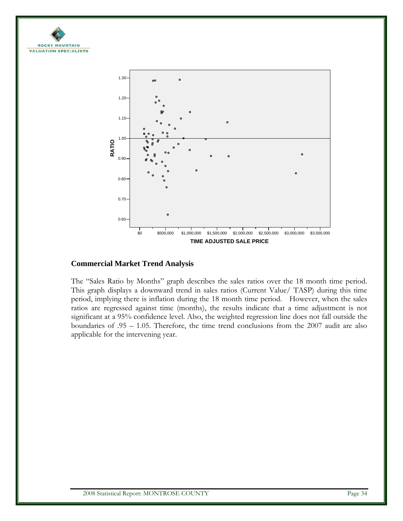



### **Commercial Market Trend Analysis**

The "Sales Ratio by Months" graph describes the sales ratios over the 18 month time period. This graph displays a downward trend in sales ratios (Current Value/ TASP) during this time period, implying there is inflation during the 18 month time period. However, when the sales ratios are regressed against time (months), the results indicate that a time adjustment is not significant at a 95% confidence level. Also, the weighted regression line does not fall outside the boundaries of .95 – 1.05. Therefore, the time trend conclusions from the 2007 audit are also applicable for the intervening year.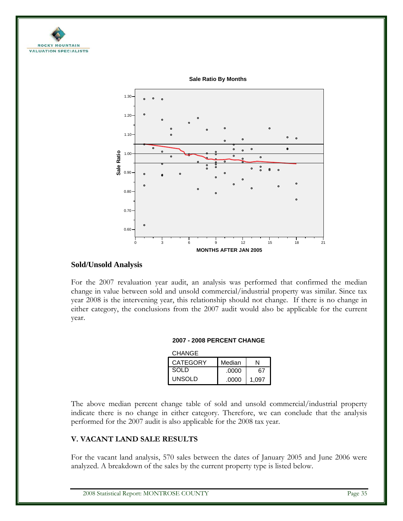



**Sale Ratio By Months**

### **Sold/Unsold Analysis**

For the 2007 revaluation year audit, an analysis was performed that confirmed the median change in value between sold and unsold commercial/industrial property was similar. Since tax year 2008 is the intervening year, this relationship should not change. If there is no change in either category, the conclusions from the 2007 audit would also be applicable for the current year.

#### **2007 - 2008 PERCENT CHANGE**

| <b>CHANGE</b>   |        |       |
|-----------------|--------|-------|
| <b>CATEGORY</b> | Median |       |
| <b>SOLD</b>     | .0000  | 67    |
| UNSOLD          | .0000  | 1.097 |

The above median percent change table of sold and unsold commercial/industrial property indicate there is no change in either category. Therefore, we can conclude that the analysis performed for the 2007 audit is also applicable for the 2008 tax year.

### **V. VACANT LAND SALE RESULTS**

For the vacant land analysis, 570 sales between the dates of January 2005 and June 2006 were analyzed. A breakdown of the sales by the current property type is listed below.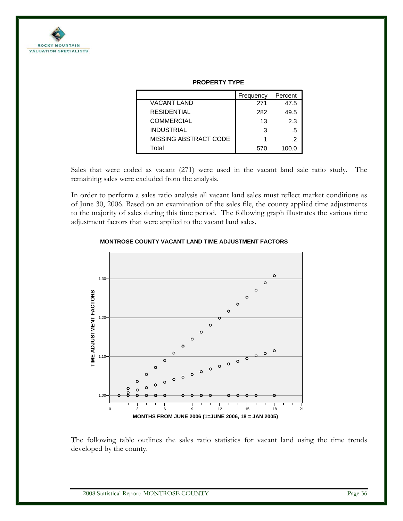

|                       | Frequency | Percent |
|-----------------------|-----------|---------|
| <b>VACANT LAND</b>    | 271       | 47.5    |
| <b>RESIDENTIAL</b>    | 282       | 49.5    |
| <b>COMMERCIAL</b>     | 13        | 2.3     |
| <b>INDUSTRIAL</b>     | 3         | .5      |
| MISSING ABSTRACT CODE |           | .2      |
| Total                 | 570       | 100.0   |

#### **PROPERTY TYPE**

Sales that were coded as vacant (271) were used in the vacant land sale ratio study. The remaining sales were excluded from the analysis.

In order to perform a sales ratio analysis all vacant land sales must reflect market conditions as of June 30, 2006. Based on an examination of the sales file, the county applied time adjustments to the majority of sales during this time period. The following graph illustrates the various time adjustment factors that were applied to the vacant land sales.





The following table outlines the sales ratio statistics for vacant land using the time trends developed by the county.

2008 Statistical Report: MONTROSE COUNTY Page 36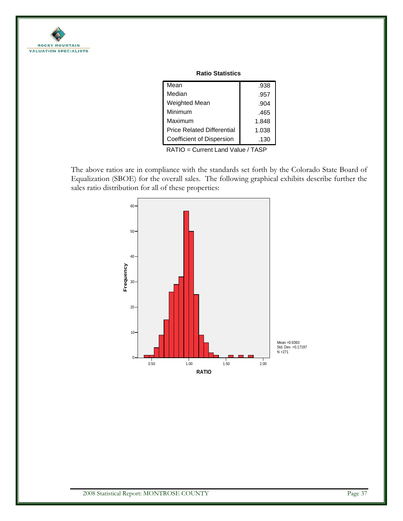

|  | <b>Ratio Statistics</b> |
|--|-------------------------|
|--|-------------------------|

| Mean                              | .938  |
|-----------------------------------|-------|
| Median                            | .957  |
| Weighted Mean                     | .904  |
| Minimum                           | .465  |
| Maximum                           | 1.848 |
| <b>Price Related Differential</b> | 1.038 |
| Coefficient of Dispersion         | .130  |
|                                   |       |

RATIO = Current Land Value / TASP

The above ratios are in compliance with the standards set forth by the Colorado State Board of Equalization (SBOE) for the overall sales. The following graphical exhibits describe further the sales ratio distribution for all of these properties:

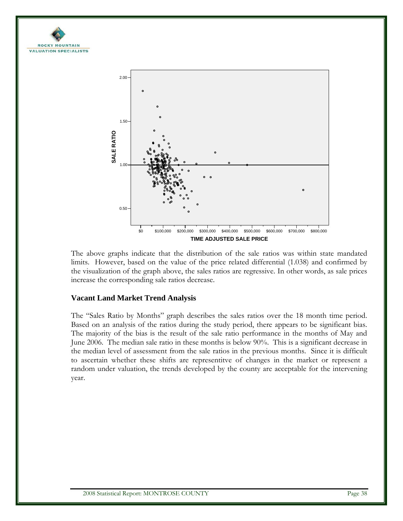



The above graphs indicate that the distribution of the sale ratios was within state mandated limits. However, based on the value of the price related differential (1.038) and confirmed by the visualization of the graph above, the sales ratios are regressive. In other words, as sale prices increase the corresponding sale ratios decrease.

### **Vacant Land Market Trend Analysis**

The "Sales Ratio by Months" graph describes the sales ratios over the 18 month time period. Based on an analysis of the ratios during the study period, there appears to be significant bias. The majority of the bias is the result of the sale ratio performance in the months of May and June 2006. The median sale ratio in these months is below 90%. This is a significant decrease in the median level of assessment from the sale ratios in the previous months. Since it is difficult to ascertain whether these shifts are representitve of changes in the market or represent a random under valuation, the trends developed by the county are acceptable for the intervening year.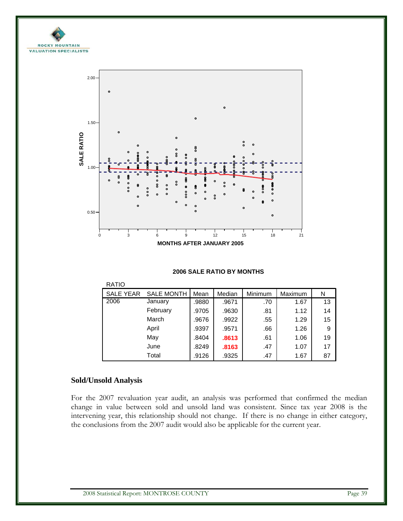



#### **2006 SALE RATIO BY MONTHS**

| <b>RATIO</b>     |                   |       |        |         |         |    |  |  |  |
|------------------|-------------------|-------|--------|---------|---------|----|--|--|--|
| <b>SALE YEAR</b> | <b>SALE MONTH</b> | Mean  | Median | Minimum | Maximum | N  |  |  |  |
| 2006             | January           | .9880 | .9671  | .70     | 1.67    | 13 |  |  |  |
|                  | February          | .9705 | .9630  | .81     | 1.12    | 14 |  |  |  |
|                  | March             | .9676 | .9922  | .55     | 1.29    | 15 |  |  |  |
|                  | April             | .9397 | .9571  | .66     | 1.26    | 9  |  |  |  |
|                  | May               | .8404 | .8613  | .61     | 1.06    | 19 |  |  |  |
|                  | June              | .8249 | .8163  | .47     | 1.07    | 17 |  |  |  |
|                  | Total             | .9126 | .9325  | .47     | 1.67    | 87 |  |  |  |

## **Sold/Unsold Analysis**

For the 2007 revaluation year audit, an analysis was performed that confirmed the median change in value between sold and unsold land was consistent. Since tax year 2008 is the intervening year, this relationship should not change. If there is no change in either category, the conclusions from the 2007 audit would also be applicable for the current year.